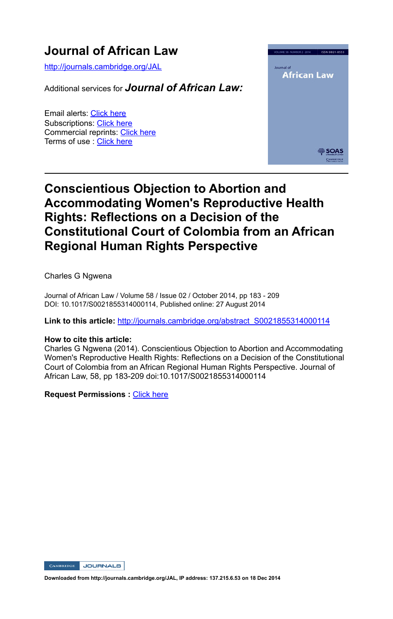# **Journal of African Law** http://journals.cambridge.org/JAL **African Law** Additional services for *Journal of African Law:* Email alerts: Click here Subscriptions: Click here Commercial reprints: Click here Terms of use : Click here SOAS

# **Conscientious Objection to Abortion and Accommodating Women's Reproductive Health Rights: Reflections on a Decision of the Constitutional Court of Colombia from an African Regional Human Rights Perspective**

Charles G Ngwena

Journal of African Law / Volume 58 / Issue 02 / October 2014, pp 183 - 209 DOI: 10.1017/S0021855314000114, Published online: 27 August 2014

Link to this article: http://journals.cambridge.org/abstract\_S0021855314000114

#### **How to cite this article:**

Charles G Ngwena (2014). Conscientious Objection to Abortion and Accommodating Women's Reproductive Health Rights: Reflections on a Decision of the Constitutional Court of Colombia from an African Regional Human Rights Perspective. Journal of African Law, 58, pp 183-209 doi:10.1017/S0021855314000114

**Request Permissions :** Click here



**Downloaded from http://journals.cambridge.org/JAL, IP address: 137.215.6.53 on 18 Dec 2014**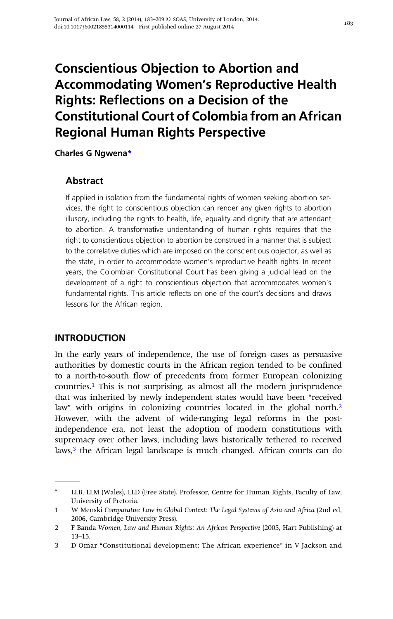# Conscientious Objection to Abortion and Accommodating Women's Reproductive Health Rights: Reflections on a Decision of the Constitutional Court of Colombia from an African Regional Human Rights Perspective

Charles G Ngwena\*

# Abstract

If applied in isolation from the fundamental rights of women seeking abortion services, the right to conscientious objection can render any given rights to abortion illusory, including the rights to health, life, equality and dignity that are attendant to abortion. A transformative understanding of human rights requires that the right to conscientious objection to abortion be construed in a manner that is subject to the correlative duties which are imposed on the conscientious objector, as well as the state, in order to accommodate women's reproductive health rights. In recent years, the Colombian Constitutional Court has been giving a judicial lead on the development of a right to conscientious objection that accommodates women's fundamental rights. This article reflects on one of the court's decisions and draws lessons for the African region.

# INTRODUCTION

In the early years of independence, the use of foreign cases as persuasive authorities by domestic courts in the African region tended to be confined to a north-to-south flow of precedents from former European colonizing countries.1 This is not surprising, as almost all the modern jurisprudence that was inherited by newly independent states would have been "received law" with origins in colonizing countries located in the global north.<sup>2</sup> However, with the advent of wide-ranging legal reforms in the postindependence era, not least the adoption of modern constitutions with supremacy over other laws, including laws historically tethered to received laws, $3$  the African legal landscape is much changed. African courts can do

LLB, LLM (Wales), LLD (Free State). Professor, Centre for Human Rights, Faculty of Law, University of Pretoria.

<sup>1</sup> W Menski Comparative Law in Global Context: The Legal Systems of Asia and Africa (2nd ed, 2006, Cambridge University Press).

<sup>2</sup> F Banda Women, Law and Human Rights: An African Perspective (2005, Hart Publishing) at 13–15.

<sup>3</sup> D Omar "Constitutional development: The African experience" in V Jackson and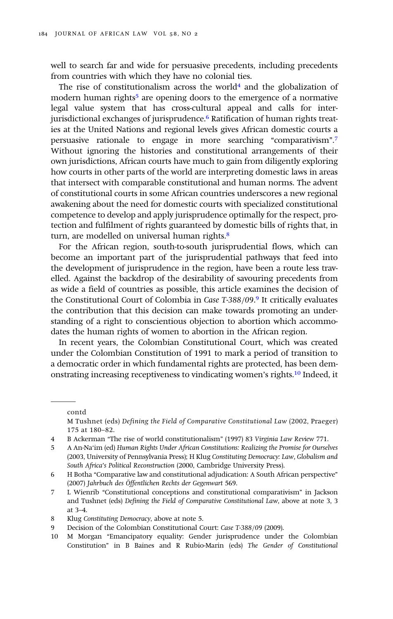well to search far and wide for persuasive precedents, including precedents from countries with which they have no colonial ties.

The rise of constitutionalism across the world<sup>4</sup> and the globalization of modern human rights<sup>5</sup> are opening doors to the emergence of a normative legal value system that has cross-cultural appeal and calls for interjurisdictional exchanges of jurisprudence.<sup>6</sup> Ratification of human rights treaties at the United Nations and regional levels gives African domestic courts a persuasive rationale to engage in more searching "comparativism". 7 Without ignoring the histories and constitutional arrangements of their own jurisdictions, African courts have much to gain from diligently exploring how courts in other parts of the world are interpreting domestic laws in areas that intersect with comparable constitutional and human norms. The advent of constitutional courts in some African countries underscores a new regional awakening about the need for domestic courts with specialized constitutional competence to develop and apply jurisprudence optimally for the respect, protection and fulfilment of rights guaranteed by domestic bills of rights that, in turn, are modelled on universal human rights.<sup>8</sup>

For the African region, south-to-south jurisprudential flows, which can become an important part of the jurisprudential pathways that feed into the development of jurisprudence in the region, have been a route less travelled. Against the backdrop of the desirability of savouring precedents from as wide a field of countries as possible, this article examines the decision of the Constitutional Court of Colombia in Case T-388/09. <sup>9</sup> It critically evaluates the contribution that this decision can make towards promoting an understanding of a right to conscientious objection to abortion which accommodates the human rights of women to abortion in the African region.

In recent years, the Colombian Constitutional Court, which was created under the Colombian Constitution of 1991 to mark a period of transition to a democratic order in which fundamental rights are protected, has been demonstrating increasing receptiveness to vindicating women's rights.10 Indeed, it

contd

M Tushnet (eds) Defining the Field of Comparative Constitutional Law (2002, Praeger) 175 at 180–82.

<sup>4</sup> B Ackerman "The rise of world constitutionalism" (1997) 83 Virginia Law Review 771.

<sup>5</sup> A An-Na'im (ed) Human Rights Under African Constitutions: Realizing the Promise for Ourselves (2003, University of Pennsylvania Press); H Klug Constituting Democracy: Law, Globalism and South Africa's Political Reconstruction (2000, Cambridge University Press).

<sup>6</sup> H Botha "Comparative law and constitutional adjudication: A South African perspective" (2007) Jahrbuch des Öffentlichen Rechts der Gegenwart 569.

<sup>7</sup> L Wienrib "Constitutional conceptions and constitutional comparativism" in Jackson and Tushnet (eds) Defining the Field of Comparative Constitutional Law, above at note 3, 3 at 3–4.

<sup>8</sup> Klug Constituting Democracy, above at note 5.

<sup>9</sup> Decision of the Colombian Constitutional Court: Case T-388/09 (2009).

<sup>10</sup> M Morgan "Emancipatory equality: Gender jurisprudence under the Colombian Constitution" in B Baines and R Rubio-Marin (eds) The Gender of Constitutional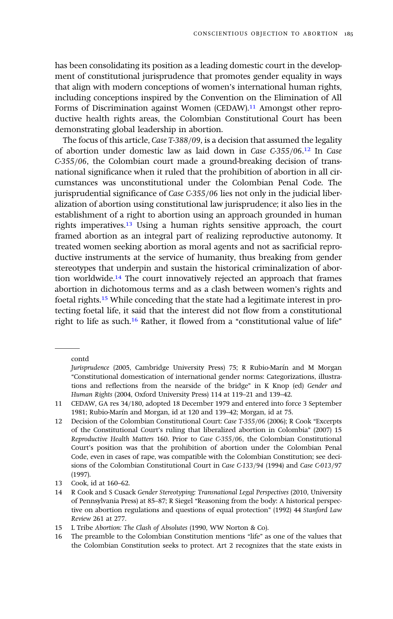has been consolidating its position as a leading domestic court in the development of constitutional jurisprudence that promotes gender equality in ways that align with modern conceptions of women's international human rights, including conceptions inspired by the Convention on the Elimination of All Forms of Discrimination against Women (CEDAW).<sup>11</sup> Amongst other reproductive health rights areas, the Colombian Constitutional Court has been demonstrating global leadership in abortion.

The focus of this article, Case T-388/09, is a decision that assumed the legality of abortion under domestic law as laid down in Case C-355/06. <sup>12</sup> In Case C-355/06, the Colombian court made a ground-breaking decision of transnational significance when it ruled that the prohibition of abortion in all circumstances was unconstitutional under the Colombian Penal Code. The jurisprudential significance of Case C-355/06 lies not only in the judicial liberalization of abortion using constitutional law jurisprudence; it also lies in the establishment of a right to abortion using an approach grounded in human rights imperatives.<sup>13</sup> Using a human rights sensitive approach, the court framed abortion as an integral part of realizing reproductive autonomy. It treated women seeking abortion as moral agents and not as sacrificial reproductive instruments at the service of humanity, thus breaking from gender stereotypes that underpin and sustain the historical criminalization of abortion worldwide.<sup>14</sup> The court innovatively rejected an approach that frames abortion in dichotomous terms and as a clash between women's rights and foetal rights.<sup>15</sup> While conceding that the state had a legitimate interest in protecting foetal life, it said that the interest did not flow from a constitutional right to life as such.<sup>16</sup> Rather, it flowed from a "constitutional value of life"

contd

Jurisprudence (2005, Cambridge University Press) 75; R Rubio-Marín and M Morgan "Constitutional domestication of international gender norms: Categorizations, illustrations and reflections from the nearside of the bridge" in K Knop (ed) Gender and Human Rights (2004, Oxford University Press) 114 at 119–21 and 139–42.

<sup>11</sup> CEDAW, GA res 34/180, adopted 18 December 1979 and entered into force 3 September 1981; Rubio-Marín and Morgan, id at 120 and 139–42; Morgan, id at 75.

<sup>12</sup> Decision of the Colombian Constitutional Court: Case T-355/06 (2006); R Cook "Excerpts of the Constitutional Court's ruling that liberalized abortion in Colombia" (2007) 15 Reproductive Health Matters 160. Prior to Case C-355/06, the Colombian Constitutional Court's position was that the prohibition of abortion under the Colombian Penal Code, even in cases of rape, was compatible with the Colombian Constitution; see decisions of the Colombian Constitutional Court in Case C-133/94 (1994) and Case C-013/97 (1997).

<sup>13</sup> Cook, id at 160–62.

<sup>14</sup> R Cook and S Cusack Gender Stereotyping: Transnational Legal Perspectives (2010, University of Pennsylvania Press) at 85–87; R Siegel "Reasoning from the body: A historical perspective on abortion regulations and questions of equal protection" (1992) 44 Stanford Law Review 261 at 277.

<sup>15</sup> L Tribe Abortion: The Clash of Absolutes (1990, WW Norton & Co).

<sup>16</sup> The preamble to the Colombian Constitution mentions "life" as one of the values that the Colombian Constitution seeks to protect. Art 2 recognizes that the state exists in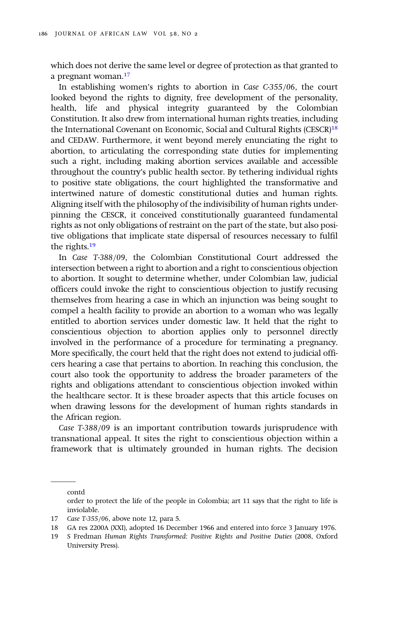which does not derive the same level or degree of protection as that granted to a pregnant woman.17

In establishing women's rights to abortion in Case C-355/06, the court looked beyond the rights to dignity, free development of the personality, health, life and physical integrity guaranteed by the Colombian Constitution. It also drew from international human rights treaties, including the International Covenant on Economic, Social and Cultural Rights (CESCR)<sup>18</sup> and CEDAW. Furthermore, it went beyond merely enunciating the right to abortion, to articulating the corresponding state duties for implementing such a right, including making abortion services available and accessible throughout the country's public health sector. By tethering individual rights to positive state obligations, the court highlighted the transformative and intertwined nature of domestic constitutional duties and human rights. Aligning itself with the philosophy of the indivisibility of human rights underpinning the CESCR, it conceived constitutionally guaranteed fundamental rights as not only obligations of restraint on the part of the state, but also positive obligations that implicate state dispersal of resources necessary to fulfil the rights.<sup>19</sup>

In Case T-388/09, the Colombian Constitutional Court addressed the intersection between a right to abortion and a right to conscientious objection to abortion. It sought to determine whether, under Colombian law, judicial officers could invoke the right to conscientious objection to justify recusing themselves from hearing a case in which an injunction was being sought to compel a health facility to provide an abortion to a woman who was legally entitled to abortion services under domestic law. It held that the right to conscientious objection to abortion applies only to personnel directly involved in the performance of a procedure for terminating a pregnancy. More specifically, the court held that the right does not extend to judicial officers hearing a case that pertains to abortion. In reaching this conclusion, the court also took the opportunity to address the broader parameters of the rights and obligations attendant to conscientious objection invoked within the healthcare sector. It is these broader aspects that this article focuses on when drawing lessons for the development of human rights standards in the African region.

Case T-388/09 is an important contribution towards jurisprudence with transnational appeal. It sites the right to conscientious objection within a framework that is ultimately grounded in human rights. The decision

contd

order to protect the life of the people in Colombia; art 11 says that the right to life is inviolable.

<sup>17</sup> Case T-355/06, above note 12, para 5.

<sup>18</sup> GA res 2200A (XXI), adopted 16 December 1966 and entered into force 3 January 1976.

<sup>19</sup> S Fredman Human Rights Transformed: Positive Rights and Positive Duties (2008, Oxford University Press).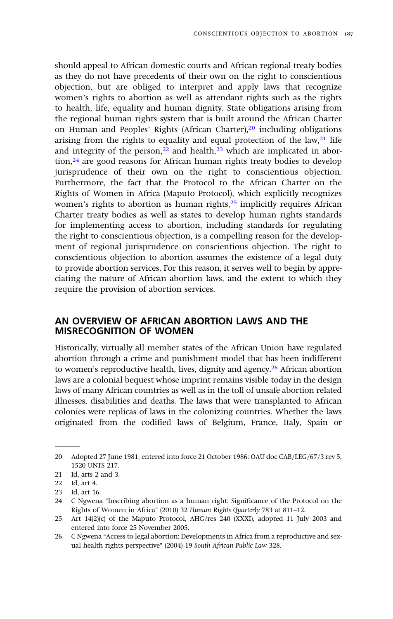should appeal to African domestic courts and African regional treaty bodies as they do not have precedents of their own on the right to conscientious objection, but are obliged to interpret and apply laws that recognize women's rights to abortion as well as attendant rights such as the rights to health, life, equality and human dignity. State obligations arising from the regional human rights system that is built around the African Charter on Human and Peoples' Rights (African Charter),<sup>20</sup> including obligations arising from the rights to equality and equal protection of the law, $21$  life and integrity of the person,<sup>22</sup> and health,<sup>23</sup> which are implicated in abortion,<sup>24</sup> are good reasons for African human rights treaty bodies to develop jurisprudence of their own on the right to conscientious objection. Furthermore, the fact that the Protocol to the African Charter on the Rights of Women in Africa (Maputo Protocol), which explicitly recognizes women's rights to abortion as human rights, $25$  implicitly requires African Charter treaty bodies as well as states to develop human rights standards for implementing access to abortion, including standards for regulating the right to conscientious objection, is a compelling reason for the development of regional jurisprudence on conscientious objection. The right to conscientious objection to abortion assumes the existence of a legal duty to provide abortion services. For this reason, it serves well to begin by appreciating the nature of African abortion laws, and the extent to which they require the provision of abortion services.

# AN OVERVIEW OF AFRICAN ABORTION LAWS AND THE MISRECOGNITION OF WOMEN

Historically, virtually all member states of the African Union have regulated abortion through a crime and punishment model that has been indifferent to women's reproductive health, lives, dignity and agency.<sup>26</sup> African abortion laws are a colonial bequest whose imprint remains visible today in the design laws of many African countries as well as in the toll of unsafe abortion related illnesses, disabilities and deaths. The laws that were transplanted to African colonies were replicas of laws in the colonizing countries. Whether the laws originated from the codified laws of Belgium, France, Italy, Spain or

<sup>20</sup> Adopted 27 June 1981, entered into force 21 October 1986: OAU doc CAB/LEG/67/3 rev 5, 1520 UNTS 217.

<sup>21</sup> Id, arts 2 and 3.

<sup>22</sup> Id, art 4.

<sup>23</sup> Id, art 16.

<sup>24</sup> C Ngwena "Inscribing abortion as a human right: Significance of the Protocol on the Rights of Women in Africa" (2010) 32 Human Rights Quarterly 783 at 811–12.

<sup>25</sup> Art 14(2)(c) of the Maputo Protocol, AHG/res 240 (XXXI), adopted 11 July 2003 and entered into force 25 November 2005.

<sup>26</sup> C Ngwena "Access to legal abortion: Developments in Africa from a reproductive and sexual health rights perspective" (2004) 19 South African Public Law 328.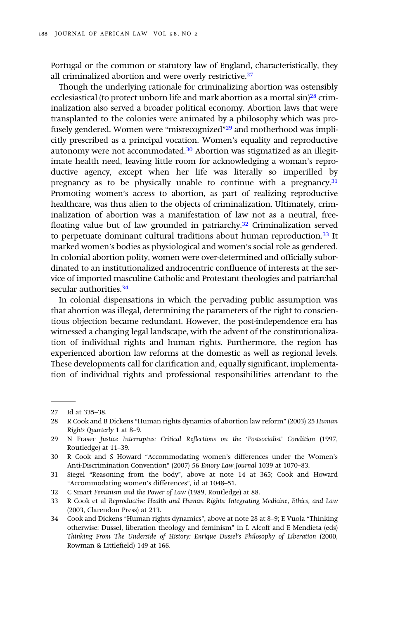Portugal or the common or statutory law of England, characteristically, they all criminalized abortion and were overly restrictive.27

Though the underlying rationale for criminalizing abortion was ostensibly ecclesiastical (to protect unborn life and mark abortion as a mortal  $sin)^{28}$  criminalization also served a broader political economy. Abortion laws that were transplanted to the colonies were animated by a philosophy which was profusely gendered. Women were "misrecognized"<sup>29</sup> and motherhood was implicitly prescribed as a principal vocation. Women's equality and reproductive autonomy were not accommodated.<sup>30</sup> Abortion was stigmatized as an illegitimate health need, leaving little room for acknowledging a woman's reproductive agency, except when her life was literally so imperilled by pregnancy as to be physically unable to continue with a pregnancy. $31$ Promoting women's access to abortion, as part of realizing reproductive healthcare, was thus alien to the objects of criminalization. Ultimately, criminalization of abortion was a manifestation of law not as a neutral, freefloating value but of law grounded in patriarchy.32 Criminalization served to perpetuate dominant cultural traditions about human reproduction.<sup>33</sup> It marked women's bodies as physiological and women's social role as gendered. In colonial abortion polity, women were over-determined and officially subordinated to an institutionalized androcentric confluence of interests at the service of imported masculine Catholic and Protestant theologies and patriarchal secular authorities.<sup>34</sup>

In colonial dispensations in which the pervading public assumption was that abortion was illegal, determining the parameters of the right to conscientious objection became redundant. However, the post-independence era has witnessed a changing legal landscape, with the advent of the constitutionalization of individual rights and human rights. Furthermore, the region has experienced abortion law reforms at the domestic as well as regional levels. These developments call for clarification and, equally significant, implementation of individual rights and professional responsibilities attendant to the

<sup>27</sup> Id at 335–38.

<sup>28</sup> R Cook and B Dickens "Human rights dynamics of abortion law reform" (2003) 25 Human Rights Quarterly 1 at 8–9.

<sup>29</sup> N Fraser Justice Interruptus: Critical Reflections on the 'Postsocialist' Condition (1997, Routledge) at 11–39.

<sup>30</sup> R Cook and S Howard "Accommodating women's differences under the Women's Anti-Discrimination Convention" (2007) 56 Emory Law Journal 1039 at 1070–83.

<sup>31</sup> Siegel "Reasoning from the body", above at note 14 at 365; Cook and Howard "Accommodating women's differences", id at 1048–51.

<sup>32</sup> C Smart Feminism and the Power of Law (1989, Routledge) at 88.

<sup>33</sup> R Cook et al Reproductive Health and Human Rights: Integrating Medicine, Ethics, and Law (2003, Clarendon Press) at 213.

<sup>34</sup> Cook and Dickens "Human rights dynamics", above at note 28 at 8–9; E Vuola "Thinking otherwise: Dussel, liberation theology and feminism" in L Alcoff and E Mendieta (eds) Thinking From The Underside of History: Enrique Dussel's Philosophy of Liberation (2000, Rowman & Littlefield) 149 at 166.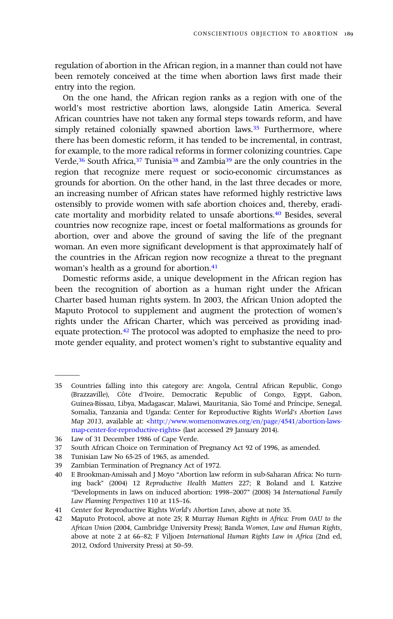regulation of abortion in the African region, in a manner than could not have been remotely conceived at the time when abortion laws first made their entry into the region.

On the one hand, the African region ranks as a region with one of the world's most restrictive abortion laws, alongside Latin America. Several African countries have not taken any formal steps towards reform, and have simply retained colonially spawned abortion laws.<sup>35</sup> Furthermore, where there has been domestic reform, it has tended to be incremental, in contrast, for example, to the more radical reforms in former colonizing countries. Cape Verde,  $36$  South Africa,  $37$  Tunisia  $38$  and Zambia  $39$  are the only countries in the region that recognize mere request or socio-economic circumstances as grounds for abortion. On the other hand, in the last three decades or more, an increasing number of African states have reformed highly restrictive laws ostensibly to provide women with safe abortion choices and, thereby, eradicate mortality and morbidity related to unsafe abortions.<sup>40</sup> Besides, several countries now recognize rape, incest or foetal malformations as grounds for abortion, over and above the ground of saving the life of the pregnant woman. An even more significant development is that approximately half of the countries in the African region now recognize a threat to the pregnant woman's health as a ground for abortion.<sup>41</sup>

Domestic reforms aside, a unique development in the African region has been the recognition of abortion as a human right under the African Charter based human rights system. In 2003, the African Union adopted the Maputo Protocol to supplement and augment the protection of women's rights under the African Charter, which was perceived as providing inadequate protection.<sup>42</sup> The protocol was adopted to emphasize the need to promote gender equality, and protect women's right to substantive equality and

- 38 Tunisian Law No 65-25 of 1965, as amended.
- 39 Zambian Termination of Pregnancy Act of 1972.

<sup>35</sup> Countries falling into this category are: Angola, Central African Republic, Congo (Brazzaville), Côte d'Ivoire, Democratic Republic of Congo, Egypt, Gabon, Guinea-Bissau, Libya, Madagascar, Malawi, Mauritania, São Tomé and Príncipe, Senegal, Somalia, Tanzania and Uganda: Center for Reproductive Rights World's Abortion Laws Map 2013, available at: [<http:](http://www.womenonwaves.org/en/page/4541/abortion-laws-map-center-for-reproductive-rights)//[www.womenonwaves.org](http://www.womenonwaves.org/en/page/4541/abortion-laws-map-center-for-reproductive-rights)/[en](http://www.womenonwaves.org/en/page/4541/abortion-laws-map-center-for-reproductive-rights)/[page](http://www.womenonwaves.org/en/page/4541/abortion-laws-map-center-for-reproductive-rights)/[4541](http://www.womenonwaves.org/en/page/4541/abortion-laws-map-center-for-reproductive-rights)/[abortion-laws](http://www.womenonwaves.org/en/page/4541/abortion-laws-map-center-for-reproductive-rights)[map-center-for-reproductive-rights>](http://www.womenonwaves.org/en/page/4541/abortion-laws-map-center-for-reproductive-rights) (last accessed 29 January 2014).

<sup>36</sup> Law of 31 December 1986 of Cape Verde.

<sup>37</sup> South African Choice on Termination of Pregnancy Act 92 of 1996, as amended.

<sup>40</sup> E Brookman-Amissah and J Moyo "Abortion law reform in sub-Saharan Africa: No turning back" (2004) 12 Reproductive Health Matters 227; R Boland and L Katzive "Developments in laws on induced abortion: 1998–2007" (2008) 34 International Family Law Planning Perspectives 110 at 115–16.

<sup>41</sup> Center for Reproductive Rights World's Abortion Laws, above at note 35.<br>42 Maputo Protocol, above at note 25; R Murrav Human Rights in Africa: 1

Maputo Protocol, above at note 25; R Murray Human Rights in Africa: From OAU to the African Union (2004, Cambridge University Press); Banda Women, Law and Human Rights, above at note 2 at 66–82; F Viljoen International Human Rights Law in Africa (2nd ed, 2012, Oxford University Press) at 50–59.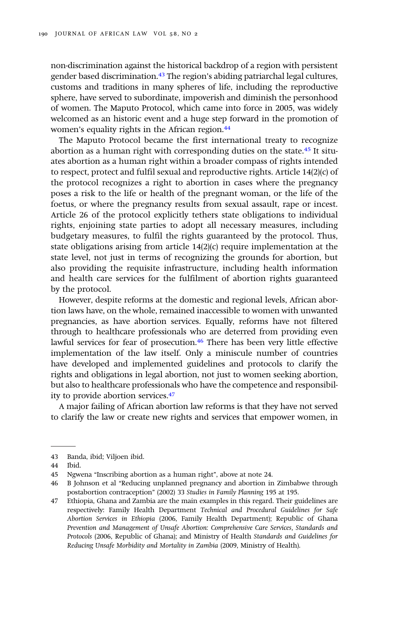non-discrimination against the historical backdrop of a region with persistent gender based discrimination.<sup>43</sup> The region's abiding patriarchal legal cultures, customs and traditions in many spheres of life, including the reproductive sphere, have served to subordinate, impoverish and diminish the personhood of women. The Maputo Protocol, which came into force in 2005, was widely welcomed as an historic event and a huge step forward in the promotion of women's equality rights in the African region.<sup>44</sup>

The Maputo Protocol became the first international treaty to recognize abortion as a human right with corresponding duties on the state.<sup>45</sup> It situates abortion as a human right within a broader compass of rights intended to respect, protect and fulfil sexual and reproductive rights. Article 14(2)(c) of the protocol recognizes a right to abortion in cases where the pregnancy poses a risk to the life or health of the pregnant woman, or the life of the foetus, or where the pregnancy results from sexual assault, rape or incest. Article 26 of the protocol explicitly tethers state obligations to individual rights, enjoining state parties to adopt all necessary measures, including budgetary measures, to fulfil the rights guaranteed by the protocol. Thus, state obligations arising from article 14(2)(c) require implementation at the state level, not just in terms of recognizing the grounds for abortion, but also providing the requisite infrastructure, including health information and health care services for the fulfilment of abortion rights guaranteed by the protocol.

However, despite reforms at the domestic and regional levels, African abortion laws have, on the whole, remained inaccessible to women with unwanted pregnancies, as have abortion services. Equally, reforms have not filtered through to healthcare professionals who are deterred from providing even lawful services for fear of prosecution.<sup>46</sup> There has been very little effective implementation of the law itself. Only a miniscule number of countries have developed and implemented guidelines and protocols to clarify the rights and obligations in legal abortion, not just to women seeking abortion, but also to healthcare professionals who have the competence and responsibility to provide abortion services.<sup>47</sup>

A major failing of African abortion law reforms is that they have not served to clarify the law or create new rights and services that empower women, in

<sup>43</sup> Banda, ibid; Viljoen ibid.

<sup>44</sup> Ibid.

<sup>45</sup> Ngwena "Inscribing abortion as a human right", above at note 24.

<sup>46</sup> B Johnson et al "Reducing unplanned pregnancy and abortion in Zimbabwe through postabortion contraception" (2002) 33 Studies in Family Planning 195 at 195.

<sup>47</sup> Ethiopia, Ghana and Zambia are the main examples in this regard. Their guidelines are respectively: Family Health Department Technical and Procedural Guidelines for Safe Abortion Services in Ethiopia (2006, Family Health Department); Republic of Ghana Prevention and Management of Unsafe Abortion: Comprehensive Care Services, Standards and Protocols (2006, Republic of Ghana); and Ministry of Health Standards and Guidelines for Reducing Unsafe Morbidity and Mortality in Zambia (2009, Ministry of Health).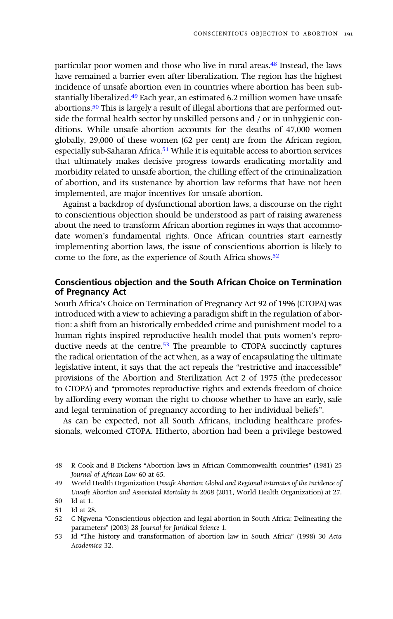particular poor women and those who live in rural areas.48 Instead, the laws have remained a barrier even after liberalization. The region has the highest incidence of unsafe abortion even in countries where abortion has been substantially liberalized.<sup>49</sup> Each year, an estimated 6.2 million women have unsafe abortions.<sup>50</sup> This is largely a result of illegal abortions that are performed outside the formal health sector by unskilled persons and / or in unhygienic conditions. While unsafe abortion accounts for the deaths of 47,000 women globally, 29,000 of these women (62 per cent) are from the African region, especially sub-Saharan Africa.<sup>51</sup> While it is equitable access to abortion services that ultimately makes decisive progress towards eradicating mortality and morbidity related to unsafe abortion, the chilling effect of the criminalization of abortion, and its sustenance by abortion law reforms that have not been implemented, are major incentives for unsafe abortion.

Against a backdrop of dysfunctional abortion laws, a discourse on the right to conscientious objection should be understood as part of raising awareness about the need to transform African abortion regimes in ways that accommodate women's fundamental rights. Once African countries start earnestly implementing abortion laws, the issue of conscientious abortion is likely to come to the fore, as the experience of South Africa shows.<sup>52</sup>

## Conscientious objection and the South African Choice on Termination of Pregnancy Act

South Africa's Choice on Termination of Pregnancy Act 92 of 1996 (CTOPA) was introduced with a view to achieving a paradigm shift in the regulation of abortion: a shift from an historically embedded crime and punishment model to a human rights inspired reproductive health model that puts women's reproductive needs at the centre.<sup>53</sup> The preamble to CTOPA succinctly captures the radical orientation of the act when, as a way of encapsulating the ultimate legislative intent, it says that the act repeals the "restrictive and inaccessible" provisions of the Abortion and Sterilization Act 2 of 1975 (the predecessor to CTOPA) and "promotes reproductive rights and extends freedom of choice by affording every woman the right to choose whether to have an early, safe and legal termination of pregnancy according to her individual beliefs".

As can be expected, not all South Africans, including healthcare professionals, welcomed CTOPA. Hitherto, abortion had been a privilege bestowed

<sup>48</sup> R Cook and B Dickens "Abortion laws in African Commonwealth countries" (1981) 25 Journal of African Law 60 at 65.

<sup>49</sup> World Health Organization Unsafe Abortion: Global and Regional Estimates of the Incidence of Unsafe Abortion and Associated Mortality in 2008 (2011, World Health Organization) at 27.

<sup>50</sup> Id at 1.

<sup>51</sup> Id at 28.

<sup>52</sup> C Ngwena "Conscientious objection and legal abortion in South Africa: Delineating the parameters" (2003) 28 Journal for Juridical Science 1.

<sup>53</sup> Id "The history and transformation of abortion law in South Africa" (1998) 30 Acta Academica 32.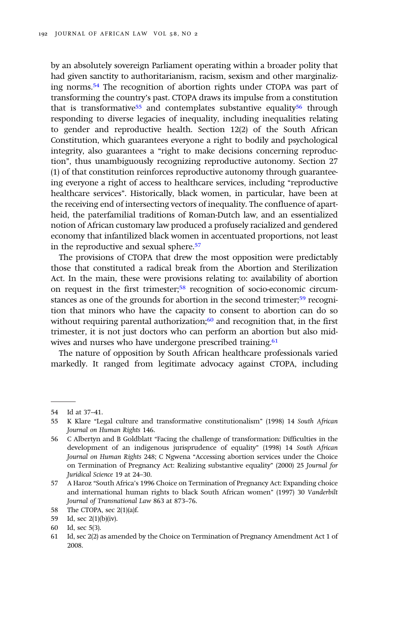by an absolutely sovereign Parliament operating within a broader polity that had given sanctity to authoritarianism, racism, sexism and other marginalizing norms.<sup>54</sup> The recognition of abortion rights under CTOPA was part of transforming the country's past. CTOPA draws its impulse from a constitution that is transformative<sup>55</sup> and contemplates substantive equality<sup>56</sup> through responding to diverse legacies of inequality, including inequalities relating to gender and reproductive health. Section 12(2) of the South African Constitution, which guarantees everyone a right to bodily and psychological integrity, also guarantees a "right to make decisions concerning reproduction", thus unambiguously recognizing reproductive autonomy. Section 27 (1) of that constitution reinforces reproductive autonomy through guaranteeing everyone a right of access to healthcare services, including "reproductive healthcare services". Historically, black women, in particular, have been at the receiving end of intersecting vectors of inequality. The confluence of apartheid, the paterfamilial traditions of Roman-Dutch law, and an essentialized notion of African customary law produced a profusely racialized and gendered economy that infantilized black women in accentuated proportions, not least in the reproductive and sexual sphere.<sup>57</sup>

The provisions of CTOPA that drew the most opposition were predictably those that constituted a radical break from the Abortion and Sterilization Act. In the main, these were provisions relating to: availability of abortion on request in the first trimester;<sup>58</sup> recognition of socio-economic circumstances as one of the grounds for abortion in the second trimester;<sup>59</sup> recognition that minors who have the capacity to consent to abortion can do so without requiring parental authorization; $60$  and recognition that, in the first trimester, it is not just doctors who can perform an abortion but also midwives and nurses who have undergone prescribed training.<sup>61</sup>

The nature of opposition by South African healthcare professionals varied markedly. It ranged from legitimate advocacy against CTOPA, including

<sup>54</sup> Id at 37–41.

<sup>55</sup> K Klare "Legal culture and transformative constitutionalism" (1998) 14 South African Journal on Human Rights 146.

<sup>56</sup> C Albertyn and B Goldblatt "Facing the challenge of transformation: Difficulties in the development of an indigenous jurisprudence of equality" (1998) 14 South African Journal on Human Rights 248; C Ngwena "Accessing abortion services under the Choice on Termination of Pregnancy Act: Realizing substantive equality" (2000) 25 Journal for Juridical Science 19 at 24–30.

<sup>57</sup> A Haroz "South Africa's 1996 Choice on Termination of Pregnancy Act: Expanding choice and international human rights to black South African women" (1997) 30 Vanderbilt Journal of Transnational Law 863 at 873–76.

<sup>58</sup> The CTOPA, sec 2(1)(a)f.

<sup>59</sup> Id, sec 2(1)(b)(iv).

<sup>60</sup> Id, sec 5(3).

<sup>61</sup> Id, sec 2(2) as amended by the Choice on Termination of Pregnancy Amendment Act 1 of 2008.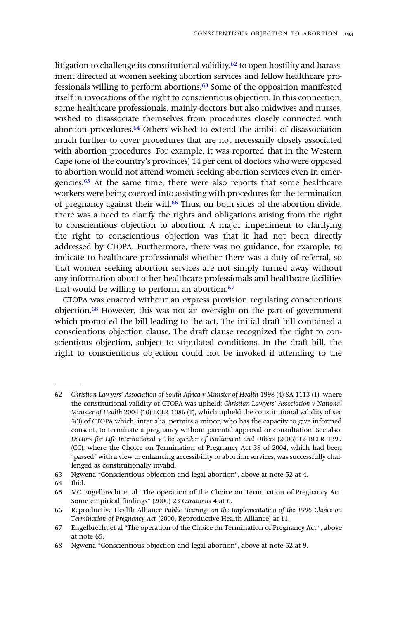litigation to challenge its constitutional validity, $62$  to open hostility and harassment directed at women seeking abortion services and fellow healthcare professionals willing to perform abortions.63 Some of the opposition manifested itself in invocations of the right to conscientious objection. In this connection, some healthcare professionals, mainly doctors but also midwives and nurses, wished to disassociate themselves from procedures closely connected with abortion procedures.<sup>64</sup> Others wished to extend the ambit of disassociation much further to cover procedures that are not necessarily closely associated with abortion procedures. For example, it was reported that in the Western Cape (one of the country's provinces) 14 per cent of doctors who were opposed to abortion would not attend women seeking abortion services even in emergencies.<sup>65</sup> At the same time, there were also reports that some healthcare workers were being coerced into assisting with procedures for the termination of pregnancy against their will.<sup>66</sup> Thus, on both sides of the abortion divide, there was a need to clarify the rights and obligations arising from the right to conscientious objection to abortion. A major impediment to clarifying the right to conscientious objection was that it had not been directly addressed by CTOPA. Furthermore, there was no guidance, for example, to indicate to healthcare professionals whether there was a duty of referral, so that women seeking abortion services are not simply turned away without any information about other healthcare professionals and healthcare facilities that would be willing to perform an abortion.<sup>67</sup>

CTOPA was enacted without an express provision regulating conscientious objection.68 However, this was not an oversight on the part of government which promoted the bill leading to the act. The initial draft bill contained a conscientious objection clause. The draft clause recognized the right to conscientious objection, subject to stipulated conditions. In the draft bill, the right to conscientious objection could not be invoked if attending to the

63 Ngwena "Conscientious objection and legal abortion", above at note 52 at 4.

<sup>62</sup> Christian Lawyers' Association of South Africa v Minister of Health 1998 (4) SA 1113 (T), where the constitutional validity of CTOPA was upheld; Christian Lawyers' Association v National Minister of Health 2004 (10) BCLR 1086 (T), which upheld the constitutional validity of sec 5(3) of CTOPA which, inter alia, permits a minor, who has the capacity to give informed consent, to terminate a pregnancy without parental approval or consultation. See also: Doctors for Life International v The Speaker of Parliament and Others (2006) 12 BCLR 1399 (CC), where the Choice on Termination of Pregnancy Act 38 of 2004, which had been "passed" with a view to enhancing accessibility to abortion services, was successfully challenged as constitutionally invalid.

<sup>64</sup> Ibid.

<sup>65</sup> MC Engelbrecht et al "The operation of the Choice on Termination of Pregnancy Act: Some empirical findings" (2000) 23 Curationis 4 at 6.

<sup>66</sup> Reproductive Health Alliance Public Hearings on the Implementation of the 1996 Choice on Termination of Pregnancy Act (2000, Reproductive Health Alliance) at 11.

<sup>67</sup> Engelbrecht et al "The operation of the Choice on Termination of Pregnancy Act ", above at note 65.

<sup>68</sup> Ngwena "Conscientious objection and legal abortion", above at note 52 at 9.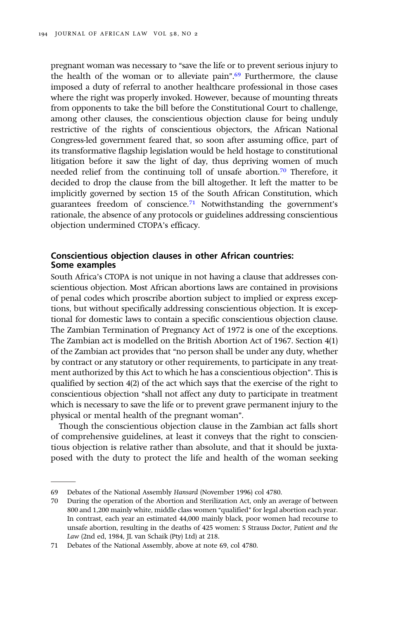pregnant woman was necessary to "save the life or to prevent serious injury to the health of the woman or to alleviate pain". <sup>69</sup> Furthermore, the clause imposed a duty of referral to another healthcare professional in those cases where the right was properly invoked. However, because of mounting threats from opponents to take the bill before the Constitutional Court to challenge, among other clauses, the conscientious objection clause for being unduly restrictive of the rights of conscientious objectors, the African National Congress-led government feared that, so soon after assuming office, part of its transformative flagship legislation would be held hostage to constitutional litigation before it saw the light of day, thus depriving women of much needed relief from the continuing toll of unsafe abortion.<sup>70</sup> Therefore, it decided to drop the clause from the bill altogether. It left the matter to be implicitly governed by section 15 of the South African Constitution, which guarantees freedom of conscience.<sup>71</sup> Notwithstanding the government's rationale, the absence of any protocols or guidelines addressing conscientious objection undermined CTOPA's efficacy.

# Conscientious objection clauses in other African countries: Some examples

South Africa's CTOPA is not unique in not having a clause that addresses conscientious objection. Most African abortions laws are contained in provisions of penal codes which proscribe abortion subject to implied or express exceptions, but without specifically addressing conscientious objection. It is exceptional for domestic laws to contain a specific conscientious objection clause. The Zambian Termination of Pregnancy Act of 1972 is one of the exceptions. The Zambian act is modelled on the British Abortion Act of 1967. Section 4(1) of the Zambian act provides that "no person shall be under any duty, whether by contract or any statutory or other requirements, to participate in any treatment authorized by this Act to which he has a conscientious objection". This is qualified by section 4(2) of the act which says that the exercise of the right to conscientious objection "shall not affect any duty to participate in treatment which is necessary to save the life or to prevent grave permanent injury to the physical or mental health of the pregnant woman".

Though the conscientious objection clause in the Zambian act falls short of comprehensive guidelines, at least it conveys that the right to conscientious objection is relative rather than absolute, and that it should be juxtaposed with the duty to protect the life and health of the woman seeking

<sup>69</sup> Debates of the National Assembly Hansard (November 1996) col 4780.

<sup>70</sup> During the operation of the Abortion and Sterilization Act, only an average of between 800 and 1,200 mainly white, middle class women "qualified" for legal abortion each year. In contrast, each year an estimated 44,000 mainly black, poor women had recourse to unsafe abortion, resulting in the deaths of 425 women: S Strauss Doctor, Patient and the Law (2nd ed, 1984, JL van Schaik (Pty) Ltd) at 218.

<sup>71</sup> Debates of the National Assembly, above at note 69, col 4780.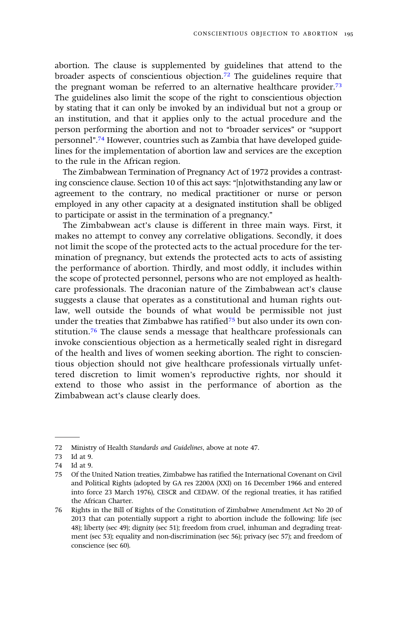abortion. The clause is supplemented by guidelines that attend to the broader aspects of conscientious objection.<sup>72</sup> The guidelines require that the pregnant woman be referred to an alternative healthcare provider.<sup>73</sup> The guidelines also limit the scope of the right to conscientious objection by stating that it can only be invoked by an individual but not a group or an institution, and that it applies only to the actual procedure and the person performing the abortion and not to "broader services" or "support personnel". <sup>74</sup> However, countries such as Zambia that have developed guidelines for the implementation of abortion law and services are the exception to the rule in the African region.

The Zimbabwean Termination of Pregnancy Act of 1972 provides a contrasting conscience clause. Section 10 of this act says: "[n]otwithstanding any law or agreement to the contrary, no medical practitioner or nurse or person employed in any other capacity at a designated institution shall be obliged to participate or assist in the termination of a pregnancy."

The Zimbabwean act's clause is different in three main ways. First, it makes no attempt to convey any correlative obligations. Secondly, it does not limit the scope of the protected acts to the actual procedure for the termination of pregnancy, but extends the protected acts to acts of assisting the performance of abortion. Thirdly, and most oddly, it includes within the scope of protected personnel, persons who are not employed as healthcare professionals. The draconian nature of the Zimbabwean act's clause suggests a clause that operates as a constitutional and human rights outlaw, well outside the bounds of what would be permissible not just under the treaties that Zimbabwe has ratified<sup>75</sup> but also under its own constitution.<sup>76</sup> The clause sends a message that healthcare professionals can invoke conscientious objection as a hermetically sealed right in disregard of the health and lives of women seeking abortion. The right to conscientious objection should not give healthcare professionals virtually unfettered discretion to limit women's reproductive rights, nor should it extend to those who assist in the performance of abortion as the Zimbabwean act's clause clearly does.

<sup>72</sup> Ministry of Health Standards and Guidelines, above at note 47.

<sup>73</sup> Id at 9.

<sup>74</sup> Id at 9.

<sup>75</sup> Of the United Nation treaties, Zimbabwe has ratified the International Covenant on Civil and Political Rights (adopted by GA res 2200A (XXI) on 16 December 1966 and entered into force 23 March 1976), CESCR and CEDAW. Of the regional treaties, it has ratified the African Charter.

<sup>76</sup> Rights in the Bill of Rights of the Constitution of Zimbabwe Amendment Act No 20 of 2013 that can potentially support a right to abortion include the following: life (sec 48); liberty (sec 49); dignity (sec 51); freedom from cruel, inhuman and degrading treatment (sec 53); equality and non-discrimination (sec 56); privacy (sec 57); and freedom of conscience (sec 60).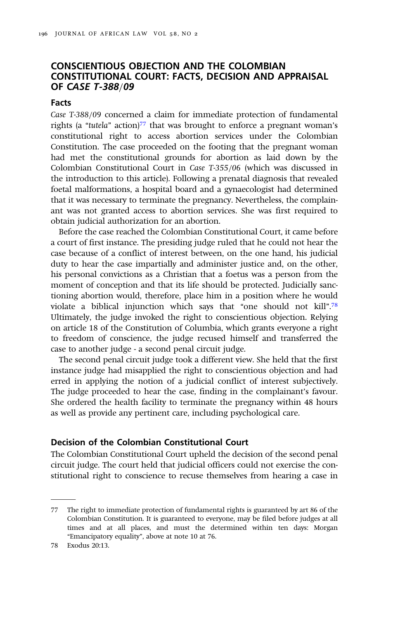# CONSCIENTIOUS OBJECTION AND THE COLOMBIAN CONSTITUTIONAL COURT: FACTS, DECISION AND APPRAISAL OF CASE T-388/09

#### Facts

Case T-388/09 concerned a claim for immediate protection of fundamental rights (a "tutela" action)<sup>77</sup> that was brought to enforce a pregnant woman's constitutional right to access abortion services under the Colombian Constitution. The case proceeded on the footing that the pregnant woman had met the constitutional grounds for abortion as laid down by the Colombian Constitutional Court in Case T-355/06 (which was discussed in the introduction to this article). Following a prenatal diagnosis that revealed foetal malformations, a hospital board and a gynaecologist had determined that it was necessary to terminate the pregnancy. Nevertheless, the complainant was not granted access to abortion services. She was first required to obtain judicial authorization for an abortion.

Before the case reached the Colombian Constitutional Court, it came before a court of first instance. The presiding judge ruled that he could not hear the case because of a conflict of interest between, on the one hand, his judicial duty to hear the case impartially and administer justice and, on the other, his personal convictions as a Christian that a foetus was a person from the moment of conception and that its life should be protected. Judicially sanctioning abortion would, therefore, place him in a position where he would violate a biblical injunction which says that "one should not kill". 78 Ultimately, the judge invoked the right to conscientious objection. Relying on article 18 of the Constitution of Columbia, which grants everyone a right to freedom of conscience, the judge recused himself and transferred the case to another judge - a second penal circuit judge.

The second penal circuit judge took a different view. She held that the first instance judge had misapplied the right to conscientious objection and had erred in applying the notion of a judicial conflict of interest subjectively. The judge proceeded to hear the case, finding in the complainant's favour. She ordered the health facility to terminate the pregnancy within 48 hours as well as provide any pertinent care, including psychological care.

### Decision of the Colombian Constitutional Court

The Colombian Constitutional Court upheld the decision of the second penal circuit judge. The court held that judicial officers could not exercise the constitutional right to conscience to recuse themselves from hearing a case in

<sup>77</sup> The right to immediate protection of fundamental rights is guaranteed by art 86 of the Colombian Constitution. It is guaranteed to everyone, may be filed before judges at all times and at all places, and must the determined within ten days: Morgan "Emancipatory equality", above at note 10 at 76.

<sup>78</sup> Exodus 20:13.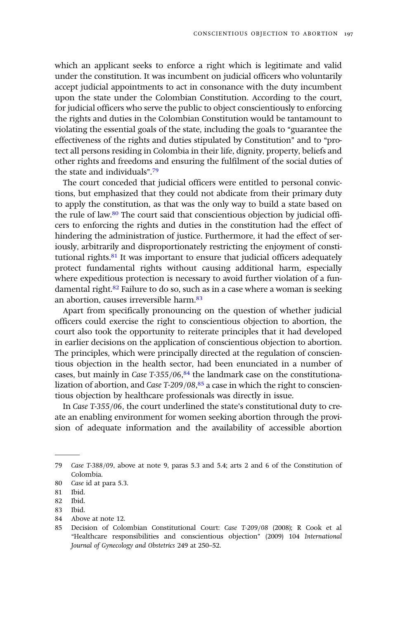which an applicant seeks to enforce a right which is legitimate and valid under the constitution. It was incumbent on judicial officers who voluntarily accept judicial appointments to act in consonance with the duty incumbent upon the state under the Colombian Constitution. According to the court, for judicial officers who serve the public to object conscientiously to enforcing the rights and duties in the Colombian Constitution would be tantamount to violating the essential goals of the state, including the goals to "guarantee the effectiveness of the rights and duties stipulated by Constitution" and to "protect all persons residing in Colombia in their life, dignity, property, beliefs and other rights and freedoms and ensuring the fulfilment of the social duties of the state and individuals". 79

The court conceded that judicial officers were entitled to personal convictions, but emphasized that they could not abdicate from their primary duty to apply the constitution, as that was the only way to build a state based on the rule of law.<sup>80</sup> The court said that conscientious objection by judicial officers to enforcing the rights and duties in the constitution had the effect of hindering the administration of justice. Furthermore, it had the effect of seriously, arbitrarily and disproportionately restricting the enjoyment of constitutional rights.<sup>81</sup> It was important to ensure that judicial officers adequately protect fundamental rights without causing additional harm, especially where expeditious protection is necessary to avoid further violation of a fundamental right. $82$  Failure to do so, such as in a case where a woman is seeking an abortion, causes irreversible harm.<sup>83</sup>

Apart from specifically pronouncing on the question of whether judicial officers could exercise the right to conscientious objection to abortion, the court also took the opportunity to reiterate principles that it had developed in earlier decisions on the application of conscientious objection to abortion. The principles, which were principally directed at the regulation of conscientious objection in the health sector, had been enunciated in a number of cases, but mainly in Case T-355/06,<sup>84</sup> the landmark case on the constitutionalization of abortion, and Case T-209/08,<sup>85</sup> a case in which the right to conscientious objection by healthcare professionals was directly in issue.

In Case T-355/06, the court underlined the state's constitutional duty to create an enabling environment for women seeking abortion through the provision of adequate information and the availability of accessible abortion

<sup>79</sup> Case T-388/09, above at note 9, paras 5.3 and 5.4; arts 2 and 6 of the Constitution of Colombia.

<sup>80</sup> Case id at para 5.3.

<sup>81</sup> Ibid.

<sup>82</sup> Ibid.

<sup>83</sup> Ibid.

<sup>84</sup> Above at note 12.

<sup>85</sup> Decision of Colombian Constitutional Court: Case T-209/08 (2008); R Cook et al "Healthcare responsibilities and conscientious objection" (2009) 104 International Journal of Gynecology and Obstetrics 249 at 250–52.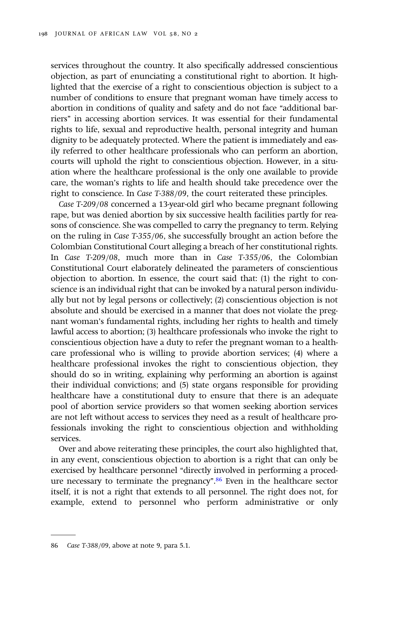services throughout the country. It also specifically addressed conscientious objection, as part of enunciating a constitutional right to abortion. It highlighted that the exercise of a right to conscientious objection is subject to a number of conditions to ensure that pregnant woman have timely access to abortion in conditions of quality and safety and do not face "additional barriers" in accessing abortion services. It was essential for their fundamental rights to life, sexual and reproductive health, personal integrity and human dignity to be adequately protected. Where the patient is immediately and easily referred to other healthcare professionals who can perform an abortion, courts will uphold the right to conscientious objection. However, in a situation where the healthcare professional is the only one available to provide care, the woman's rights to life and health should take precedence over the right to conscience. In Case T-388/09, the court reiterated these principles.

Case T-209/08 concerned a 13-year-old girl who became pregnant following rape, but was denied abortion by six successive health facilities partly for reasons of conscience. She was compelled to carry the pregnancy to term. Relying on the ruling in Case T-355/06, she successfully brought an action before the Colombian Constitutional Court alleging a breach of her constitutional rights. In Case T-209/08, much more than in Case T-355/06, the Colombian Constitutional Court elaborately delineated the parameters of conscientious objection to abortion. In essence, the court said that: (1) the right to conscience is an individual right that can be invoked by a natural person individually but not by legal persons or collectively; (2) conscientious objection is not absolute and should be exercised in a manner that does not violate the pregnant woman's fundamental rights, including her rights to health and timely lawful access to abortion; (3) healthcare professionals who invoke the right to conscientious objection have a duty to refer the pregnant woman to a healthcare professional who is willing to provide abortion services; (4) where a healthcare professional invokes the right to conscientious objection, they should do so in writing, explaining why performing an abortion is against their individual convictions; and (5) state organs responsible for providing healthcare have a constitutional duty to ensure that there is an adequate pool of abortion service providers so that women seeking abortion services are not left without access to services they need as a result of healthcare professionals invoking the right to conscientious objection and withholding services.

Over and above reiterating these principles, the court also highlighted that, in any event, conscientious objection to abortion is a right that can only be exercised by healthcare personnel "directly involved in performing a procedure necessary to terminate the pregnancy". <sup>86</sup> Even in the healthcare sector itself, it is not a right that extends to all personnel. The right does not, for example, extend to personnel who perform administrative or only

<sup>86</sup> Case T-388/09, above at note 9, para 5.1.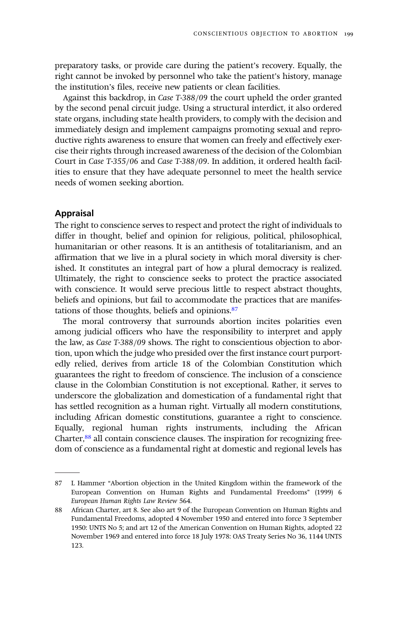preparatory tasks, or provide care during the patient's recovery. Equally, the right cannot be invoked by personnel who take the patient's history, manage the institution's files, receive new patients or clean facilities.

Against this backdrop, in Case T-388/09 the court upheld the order granted by the second penal circuit judge. Using a structural interdict, it also ordered state organs, including state health providers, to comply with the decision and immediately design and implement campaigns promoting sexual and reproductive rights awareness to ensure that women can freely and effectively exercise their rights through increased awareness of the decision of the Colombian Court in Case T-355/06 and Case T-388/09. In addition, it ordered health facilities to ensure that they have adequate personnel to meet the health service needs of women seeking abortion.

#### Appraisal

The right to conscience serves to respect and protect the right of individuals to differ in thought, belief and opinion for religious, political, philosophical, humanitarian or other reasons. It is an antithesis of totalitarianism, and an affirmation that we live in a plural society in which moral diversity is cherished. It constitutes an integral part of how a plural democracy is realized. Ultimately, the right to conscience seeks to protect the practice associated with conscience. It would serve precious little to respect abstract thoughts, beliefs and opinions, but fail to accommodate the practices that are manifestations of those thoughts, beliefs and opinions.87

The moral controversy that surrounds abortion incites polarities even among judicial officers who have the responsibility to interpret and apply the law, as Case T-388/09 shows. The right to conscientious objection to abortion, upon which the judge who presided over the first instance court purportedly relied, derives from article 18 of the Colombian Constitution which guarantees the right to freedom of conscience. The inclusion of a conscience clause in the Colombian Constitution is not exceptional. Rather, it serves to underscore the globalization and domestication of a fundamental right that has settled recognition as a human right. Virtually all modern constitutions, including African domestic constitutions, guarantee a right to conscience. Equally, regional human rights instruments, including the African Charter,88 all contain conscience clauses. The inspiration for recognizing freedom of conscience as a fundamental right at domestic and regional levels has

<sup>87</sup> L Hammer "Abortion objection in the United Kingdom within the framework of the European Convention on Human Rights and Fundamental Freedoms" (1999) 6 European Human Rights Law Review 564.

<sup>88</sup> African Charter, art 8. See also art 9 of the European Convention on Human Rights and Fundamental Freedoms, adopted 4 November 1950 and entered into force 3 September 1950: UNTS No 5; and art 12 of the American Convention on Human Rights, adopted 22 November 1969 and entered into force 18 July 1978: OAS Treaty Series No 36, 1144 UNTS 123.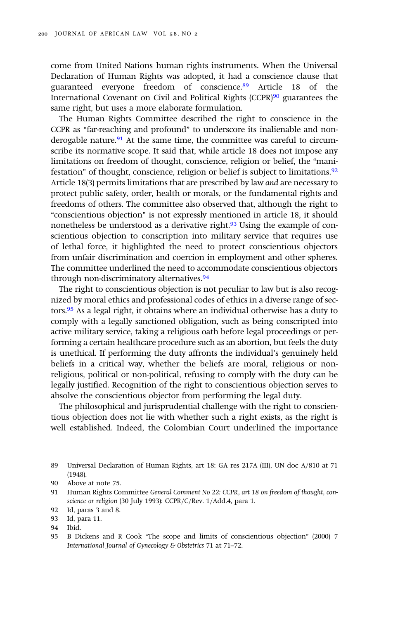come from United Nations human rights instruments. When the Universal Declaration of Human Rights was adopted, it had a conscience clause that guaranteed everyone freedom of conscience.<sup>89</sup> Article 18 of the International Covenant on Civil and Political Rights (CCPR)<sup>90</sup> guarantees the same right, but uses a more elaborate formulation.

The Human Rights Committee described the right to conscience in the CCPR as "far-reaching and profound" to underscore its inalienable and nonderogable nature.<sup>91</sup> At the same time, the committee was careful to circumscribe its normative scope. It said that, while article 18 does not impose any limitations on freedom of thought, conscience, religion or belief, the "manifestation" of thought, conscience, religion or belief is subject to limitations.<sup>92</sup> Article 18(3) permits limitations that are prescribed by law and are necessary to protect public safety, order, health or morals, or the fundamental rights and freedoms of others. The committee also observed that, although the right to "conscientious objection" is not expressly mentioned in article 18, it should nonetheless be understood as a derivative right.<sup>93</sup> Using the example of conscientious objection to conscription into military service that requires use of lethal force, it highlighted the need to protect conscientious objectors from unfair discrimination and coercion in employment and other spheres. The committee underlined the need to accommodate conscientious objectors through non-discriminatory alternatives.<sup>94</sup>

The right to conscientious objection is not peculiar to law but is also recognized by moral ethics and professional codes of ethics in a diverse range of sectors.<sup>95</sup> As a legal right, it obtains where an individual otherwise has a duty to comply with a legally sanctioned obligation, such as being conscripted into active military service, taking a religious oath before legal proceedings or performing a certain healthcare procedure such as an abortion, but feels the duty is unethical. If performing the duty affronts the individual's genuinely held beliefs in a critical way, whether the beliefs are moral, religious or nonreligious, political or non-political, refusing to comply with the duty can be legally justified. Recognition of the right to conscientious objection serves to absolve the conscientious objector from performing the legal duty.

The philosophical and jurisprudential challenge with the right to conscientious objection does not lie with whether such a right exists, as the right is well established. Indeed, the Colombian Court underlined the importance

<sup>89</sup> Universal Declaration of Human Rights, art 18: GA res 217A (III), UN doc A/810 at 71 (1948).

<sup>90</sup> Above at note 75.

<sup>91</sup> Human Rights Committee General Comment No 22: CCPR, art 18 on freedom of thought, conscience or religion (30 July 1993): CCPR/C/Rev. 1/Add.4, para 1.

<sup>92</sup> Id, paras 3 and 8.

<sup>93</sup> Id, para 11.

<sup>94</sup> Ibid.

<sup>95</sup> B Dickens and R Cook "The scope and limits of conscientious objection" (2000) 7 International Journal of Gynecology & Obstetrics 71 at 71–72.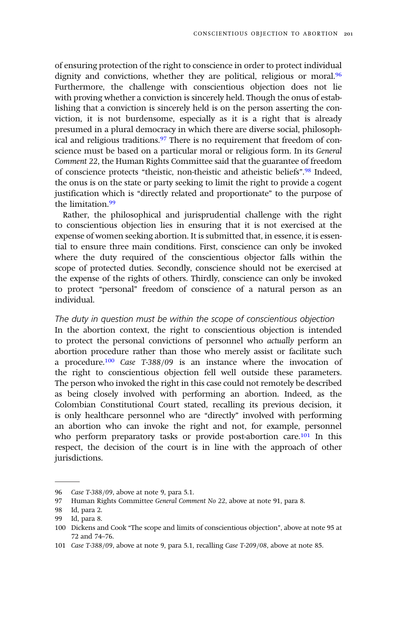of ensuring protection of the right to conscience in order to protect individual dignity and convictions, whether they are political, religious or moral.<sup>96</sup> Furthermore, the challenge with conscientious objection does not lie with proving whether a conviction is sincerely held. Though the onus of establishing that a conviction is sincerely held is on the person asserting the conviction, it is not burdensome, especially as it is a right that is already presumed in a plural democracy in which there are diverse social, philosophical and religious traditions.<sup>97</sup> There is no requirement that freedom of conscience must be based on a particular moral or religious form. In its General Comment 22, the Human Rights Committee said that the guarantee of freedom of conscience protects "theistic, non-theistic and atheistic beliefs". <sup>98</sup> Indeed, the onus is on the state or party seeking to limit the right to provide a cogent justification which is "directly related and proportionate" to the purpose of the limitation.<sup>99</sup>

Rather, the philosophical and jurisprudential challenge with the right to conscientious objection lies in ensuring that it is not exercised at the expense of women seeking abortion. It is submitted that, in essence, it is essential to ensure three main conditions. First, conscience can only be invoked where the duty required of the conscientious objector falls within the scope of protected duties. Secondly, conscience should not be exercised at the expense of the rights of others. Thirdly, conscience can only be invoked to protect "personal" freedom of conscience of a natural person as an individual.

#### The duty in question must be within the scope of conscientious objection

In the abortion context, the right to conscientious objection is intended to protect the personal convictions of personnel who actually perform an abortion procedure rather than those who merely assist or facilitate such a procedure.100 Case T-388/09 is an instance where the invocation of the right to conscientious objection fell well outside these parameters. The person who invoked the right in this case could not remotely be described as being closely involved with performing an abortion. Indeed, as the Colombian Constitutional Court stated, recalling its previous decision, it is only healthcare personnel who are "directly" involved with performing an abortion who can invoke the right and not, for example, personnel who perform preparatory tasks or provide post-abortion care.<sup>101</sup> In this respect, the decision of the court is in line with the approach of other jurisdictions.

<sup>96</sup> Case T-388/09, above at note 9, para 5.1.

<sup>97</sup> Human Rights Committee General Comment No 22, above at note 91, para 8.

<sup>98</sup> Id, para 2.

<sup>99</sup> Id, para 8.

<sup>100</sup> Dickens and Cook "The scope and limits of conscientious objection", above at note 95 at 72 and 74–76.

<sup>101</sup> Case T-388/09, above at note 9, para 5.1, recalling Case T-209/08, above at note 85.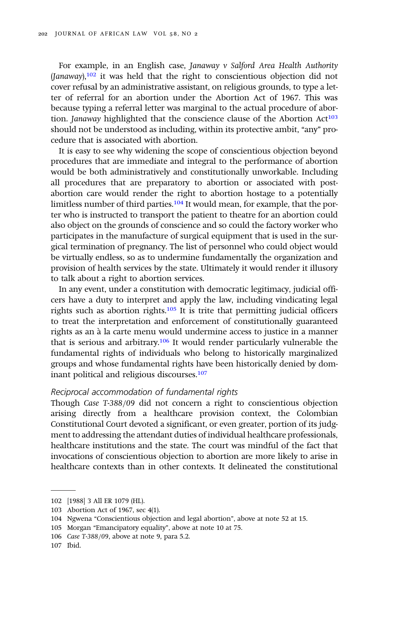For example, in an English case, Janaway v Salford Area Health Authority (Janaway),<sup>102</sup> it was held that the right to conscientious objection did not cover refusal by an administrative assistant, on religious grounds, to type a letter of referral for an abortion under the Abortion Act of 1967. This was because typing a referral letter was marginal to the actual procedure of abortion. Janaway highlighted that the conscience clause of the Abortion Act<sup>103</sup> should not be understood as including, within its protective ambit, "any" procedure that is associated with abortion.

It is easy to see why widening the scope of conscientious objection beyond procedures that are immediate and integral to the performance of abortion would be both administratively and constitutionally unworkable. Including all procedures that are preparatory to abortion or associated with postabortion care would render the right to abortion hostage to a potentially limitless number of third parties.<sup>104</sup> It would mean, for example, that the porter who is instructed to transport the patient to theatre for an abortion could also object on the grounds of conscience and so could the factory worker who participates in the manufacture of surgical equipment that is used in the surgical termination of pregnancy. The list of personnel who could object would be virtually endless, so as to undermine fundamentally the organization and provision of health services by the state. Ultimately it would render it illusory to talk about a right to abortion services.

In any event, under a constitution with democratic legitimacy, judicial officers have a duty to interpret and apply the law, including vindicating legal rights such as abortion rights.105 It is trite that permitting judicial officers to treat the interpretation and enforcement of constitutionally guaranteed rights as an à la carte menu would undermine access to justice in a manner that is serious and arbitrary.<sup>106</sup> It would render particularly vulnerable the fundamental rights of individuals who belong to historically marginalized groups and whose fundamental rights have been historically denied by dominant political and religious discourses.<sup>107</sup>

#### Reciprocal accommodation of fundamental rights

Though Case T-388/09 did not concern a right to conscientious objection arising directly from a healthcare provision context, the Colombian Constitutional Court devoted a significant, or even greater, portion of its judgment to addressing the attendant duties of individual healthcare professionals, healthcare institutions and the state. The court was mindful of the fact that invocations of conscientious objection to abortion are more likely to arise in healthcare contexts than in other contexts. It delineated the constitutional

<sup>102 [1988] 3</sup> All ER 1079 (HL).

<sup>103</sup> Abortion Act of 1967, sec 4(1).

<sup>104</sup> Ngwena "Conscientious objection and legal abortion", above at note 52 at 15.

<sup>105</sup> Morgan "Emancipatory equality", above at note 10 at 75.

<sup>106</sup> Case T-388/09, above at note 9, para 5.2.

<sup>107</sup> Ibid.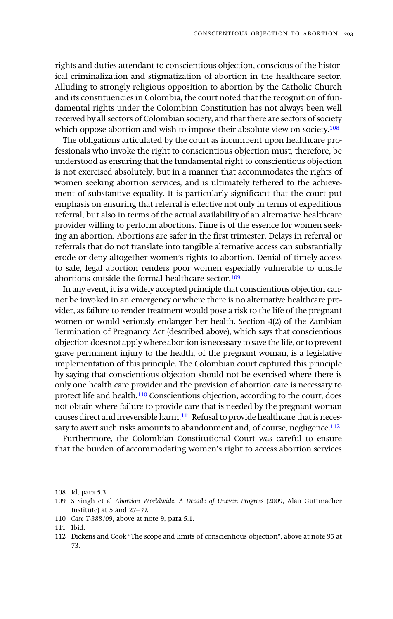rights and duties attendant to conscientious objection, conscious of the historical criminalization and stigmatization of abortion in the healthcare sector. Alluding to strongly religious opposition to abortion by the Catholic Church and its constituencies in Colombia, the court noted that the recognition of fundamental rights under the Colombian Constitution has not always been well received by all sectors of Colombian society, and that there are sectors of society which oppose abortion and wish to impose their absolute view on society.<sup>108</sup>

The obligations articulated by the court as incumbent upon healthcare professionals who invoke the right to conscientious objection must, therefore, be understood as ensuring that the fundamental right to conscientious objection is not exercised absolutely, but in a manner that accommodates the rights of women seeking abortion services, and is ultimately tethered to the achievement of substantive equality. It is particularly significant that the court put emphasis on ensuring that referral is effective not only in terms of expeditious referral, but also in terms of the actual availability of an alternative healthcare provider willing to perform abortions. Time is of the essence for women seeking an abortion. Abortions are safer in the first trimester. Delays in referral or referrals that do not translate into tangible alternative access can substantially erode or deny altogether women's rights to abortion. Denial of timely access to safe, legal abortion renders poor women especially vulnerable to unsafe abortions outside the formal healthcare sector.<sup>109</sup>

In any event, it is a widely accepted principle that conscientious objection cannot be invoked in an emergency or where there is no alternative healthcare provider, as failure to render treatment would pose a risk to the life of the pregnant women or would seriously endanger her health. Section 4(2) of the Zambian Termination of Pregnancy Act (described above), which says that conscientious objection does not apply where abortion is necessary to save the life, or to prevent grave permanent injury to the health, of the pregnant woman, is a legislative implementation of this principle. The Colombian court captured this principle by saying that conscientious objection should not be exercised where there is only one health care provider and the provision of abortion care is necessary to protect life and health.110 Conscientious objection, according to the court, does not obtain where failure to provide care that is needed by the pregnant woman causes direct and irreversible harm.<sup>111</sup> Refusal to provide healthcare that is necessary to avert such risks amounts to abandonment and, of course, negligence.<sup>112</sup>

Furthermore, the Colombian Constitutional Court was careful to ensure that the burden of accommodating women's right to access abortion services

<sup>108</sup> Id, para 5.3.

<sup>109</sup> S Singh et al Abortion Worldwide: A Decade of Uneven Progress (2009, Alan Guttmacher Institute) at 5 and 27–39.

<sup>110</sup> Case T-388/09, above at note 9, para 5.1.

<sup>111</sup> Ibid.

<sup>112</sup> Dickens and Cook "The scope and limits of conscientious objection", above at note 95 at 73.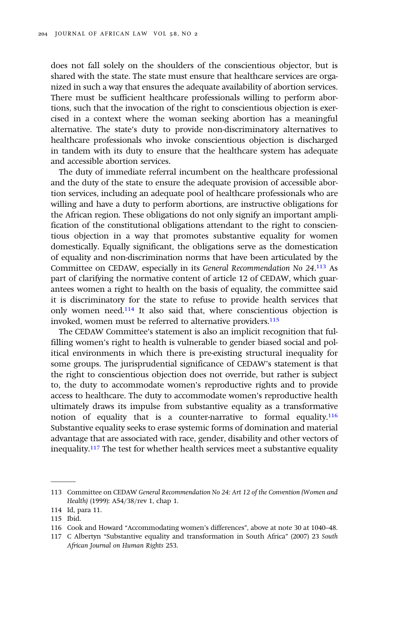does not fall solely on the shoulders of the conscientious objector, but is shared with the state. The state must ensure that healthcare services are organized in such a way that ensures the adequate availability of abortion services. There must be sufficient healthcare professionals willing to perform abortions, such that the invocation of the right to conscientious objection is exercised in a context where the woman seeking abortion has a meaningful alternative. The state's duty to provide non-discriminatory alternatives to healthcare professionals who invoke conscientious objection is discharged in tandem with its duty to ensure that the healthcare system has adequate and accessible abortion services.

The duty of immediate referral incumbent on the healthcare professional and the duty of the state to ensure the adequate provision of accessible abortion services, including an adequate pool of healthcare professionals who are willing and have a duty to perform abortions, are instructive obligations for the African region. These obligations do not only signify an important amplification of the constitutional obligations attendant to the right to conscientious objection in a way that promotes substantive equality for women domestically. Equally significant, the obligations serve as the domestication of equality and non-discrimination norms that have been articulated by the Committee on CEDAW, especially in its General Recommendation No 24.<sup>113</sup> As part of clarifying the normative content of article 12 of CEDAW, which guarantees women a right to health on the basis of equality, the committee said it is discriminatory for the state to refuse to provide health services that only women need.114 It also said that, where conscientious objection is invoked, women must be referred to alternative providers.<sup>115</sup>

The CEDAW Committee's statement is also an implicit recognition that fulfilling women's right to health is vulnerable to gender biased social and political environments in which there is pre-existing structural inequality for some groups. The jurisprudential significance of CEDAW's statement is that the right to conscientious objection does not override, but rather is subject to, the duty to accommodate women's reproductive rights and to provide access to healthcare. The duty to accommodate women's reproductive health ultimately draws its impulse from substantive equality as a transformative notion of equality that is a counter-narrative to formal equality.<sup>116</sup> Substantive equality seeks to erase systemic forms of domination and material advantage that are associated with race, gender, disability and other vectors of inequality.<sup>117</sup> The test for whether health services meet a substantive equality

<sup>113</sup> Committee on CEDAW General Recommendation No 24: Art 12 of the Convention (Women and Health) (1999): A54/38/rev 1, chap 1.

<sup>114</sup> Id, para 11.

<sup>115</sup> Ibid.

<sup>116</sup> Cook and Howard "Accommodating women's differences", above at note 30 at 1040–48.

<sup>117</sup> C Albertyn "Substantive equality and transformation in South Africa" (2007) 23 South African Journal on Human Rights 253.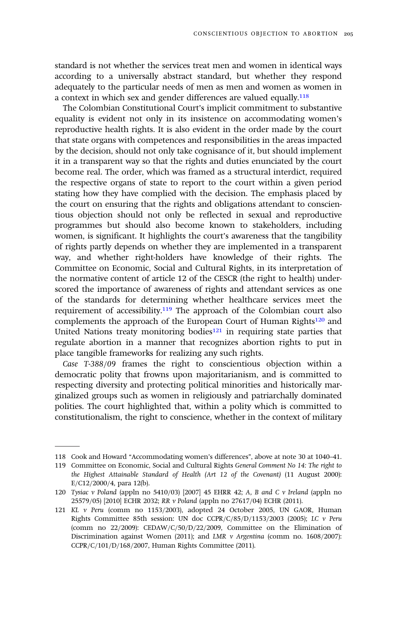standard is not whether the services treat men and women in identical ways according to a universally abstract standard, but whether they respond adequately to the particular needs of men as men and women as women in a context in which sex and gender differences are valued equally.<sup>118</sup>

The Colombian Constitutional Court's implicit commitment to substantive equality is evident not only in its insistence on accommodating women's reproductive health rights. It is also evident in the order made by the court that state organs with competences and responsibilities in the areas impacted by the decision, should not only take cognisance of it, but should implement it in a transparent way so that the rights and duties enunciated by the court become real. The order, which was framed as a structural interdict, required the respective organs of state to report to the court within a given period stating how they have complied with the decision. The emphasis placed by the court on ensuring that the rights and obligations attendant to conscientious objection should not only be reflected in sexual and reproductive programmes but should also become known to stakeholders, including women, is significant. It highlights the court's awareness that the tangibility of rights partly depends on whether they are implemented in a transparent way, and whether right-holders have knowledge of their rights. The Committee on Economic, Social and Cultural Rights, in its interpretation of the normative content of article 12 of the CESCR (the right to health) underscored the importance of awareness of rights and attendant services as one of the standards for determining whether healthcare services meet the requirement of accessibility.<sup>119</sup> The approach of the Colombian court also complements the approach of the European Court of Human Rights<sup>120</sup> and United Nations treaty monitoring bodies $121$  in requiring state parties that regulate abortion in a manner that recognizes abortion rights to put in place tangible frameworks for realizing any such rights.

Case T-388/09 frames the right to conscientious objection within a democratic polity that frowns upon majoritarianism, and is committed to respecting diversity and protecting political minorities and historically marginalized groups such as women in religiously and patriarchally dominated polities. The court highlighted that, within a polity which is committed to constitutionalism, the right to conscience, whether in the context of military

<sup>118</sup> Cook and Howard "Accommodating women's differences", above at note 30 at 1040–41.

<sup>119</sup> Committee on Economic, Social and Cultural Rights General Comment No 14: The right to the Highest Attainable Standard of Health (Art 12 of the Covenant) (11 August 2000): E/C12/2000/4, para 12(b).

<sup>120</sup> Tysiac v Poland (appln no 5410/03) [2007] 45 EHRR 42; A, B and C v Ireland (appln no 25579/05) [2010] ECHR 2032; RR v Poland (appln no 27617/04) ECHR (2011).

<sup>121</sup> KL v Peru (comm no 1153/2003), adopted 24 October 2005, UN GAOR, Human Rights Committee 85th session: UN doc CCPR/C/85/D/1153/2003 (2005); LC  $v$  Peru (comm no 22/2009): CEDAW/C/50/D/22/2009, Committee on the Elimination of Discrimination against Women (2011); and LMR v Argentina (comm no. 1608/2007): CCPR/C/101/D/168/2007, Human Rights Committee (2011).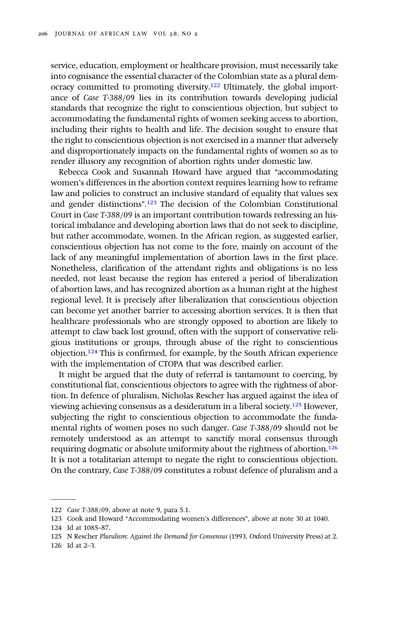service, education, employment or healthcare provision, must necessarily take into cognisance the essential character of the Colombian state as a plural democracy committed to promoting diversity.<sup>122</sup> Ultimately, the global importance of Case T-388/09 lies in its contribution towards developing judicial standards that recognize the right to conscientious objection, but subject to accommodating the fundamental rights of women seeking access to abortion, including their rights to health and life. The decision sought to ensure that the right to conscientious objection is not exercised in a manner that adversely and disproportionately impacts on the fundamental rights of women so as to render illusory any recognition of abortion rights under domestic law.

Rebecca Cook and Susannah Howard have argued that "accommodating women's differences in the abortion context requires learning how to reframe law and policies to construct an inclusive standard of equality that values sex and gender distinctions". <sup>123</sup> The decision of the Colombian Constitutional Court in Case T-388/09 is an important contribution towards redressing an historical imbalance and developing abortion laws that do not seek to discipline, but rather accommodate, women. In the African region, as suggested earlier, conscientious objection has not come to the fore, mainly on account of the lack of any meaningful implementation of abortion laws in the first place. Nonetheless, clarification of the attendant rights and obligations is no less needed, not least because the region has entered a period of liberalization of abortion laws, and has recognized abortion as a human right at the highest regional level. It is precisely after liberalization that conscientious objection can become yet another barrier to accessing abortion services. It is then that healthcare professionals who are strongly opposed to abortion are likely to attempt to claw back lost ground, often with the support of conservative religious institutions or groups, through abuse of the right to conscientious objection.124 This is confirmed, for example, by the South African experience with the implementation of CTOPA that was described earlier.

It might be argued that the duty of referral is tantamount to coercing, by constitutional fiat, conscientious objectors to agree with the rightness of abortion. In defence of pluralism, Nicholas Rescher has argued against the idea of viewing achieving consensus as a desideratum in a liberal society.<sup>125</sup> However, subjecting the right to conscientious objection to accommodate the fundamental rights of women poses no such danger. Case T-388/09 should not be remotely understood as an attempt to sanctify moral consensus through requiring dogmatic or absolute uniformity about the rightness of abortion.126 It is not a totalitarian attempt to negate the right to conscientious objection. On the contrary, Case T-388/09 constitutes a robust defence of pluralism and a

<sup>122</sup> Case T-388/09, above at note 9, para 5.1.

<sup>123</sup> Cook and Howard "Accommodating women's differences", above at note 30 at 1040.

<sup>124</sup> Id at 1085–87.

<sup>125</sup> N Rescher Pluralism: Against the Demand for Consensus (1993, Oxford University Press) at 2.

<sup>126</sup> Id at 2–3.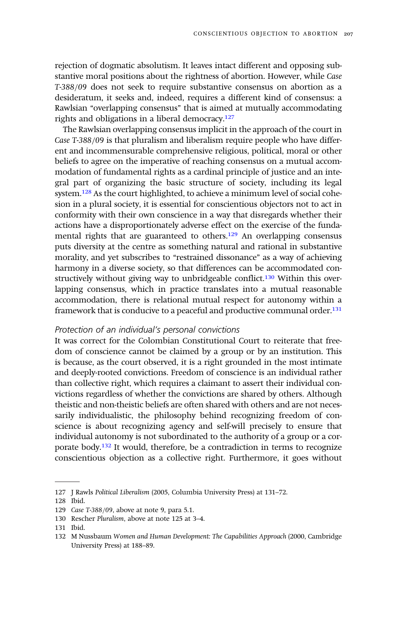rejection of dogmatic absolutism. It leaves intact different and opposing substantive moral positions about the rightness of abortion. However, while Case T-388/09 does not seek to require substantive consensus on abortion as a desideratum, it seeks and, indeed, requires a different kind of consensus: a Rawlsian "overlapping consensus" that is aimed at mutually accommodating rights and obligations in a liberal democracy.127

The Rawlsian overlapping consensus implicit in the approach of the court in Case T-388/09 is that pluralism and liberalism require people who have different and incommensurable comprehensive religious, political, moral or other beliefs to agree on the imperative of reaching consensus on a mutual accommodation of fundamental rights as a cardinal principle of justice and an integral part of organizing the basic structure of society, including its legal system.<sup>128</sup> As the court highlighted, to achieve a minimum level of social cohesion in a plural society, it is essential for conscientious objectors not to act in conformity with their own conscience in a way that disregards whether their actions have a disproportionately adverse effect on the exercise of the fundamental rights that are guaranteed to others.<sup>129</sup> An overlapping consensus puts diversity at the centre as something natural and rational in substantive morality, and yet subscribes to "restrained dissonance" as a way of achieving harmony in a diverse society, so that differences can be accommodated constructively without giving way to unbridgeable conflict.<sup>130</sup> Within this overlapping consensus, which in practice translates into a mutual reasonable accommodation, there is relational mutual respect for autonomy within a framework that is conducive to a peaceful and productive communal order.<sup>131</sup>

#### Protection of an individual's personal convictions

It was correct for the Colombian Constitutional Court to reiterate that freedom of conscience cannot be claimed by a group or by an institution. This is because, as the court observed, it is a right grounded in the most intimate and deeply-rooted convictions. Freedom of conscience is an individual rather than collective right, which requires a claimant to assert their individual convictions regardless of whether the convictions are shared by others. Although theistic and non-theistic beliefs are often shared with others and are not necessarily individualistic, the philosophy behind recognizing freedom of conscience is about recognizing agency and self-will precisely to ensure that individual autonomy is not subordinated to the authority of a group or a corporate body.<sup>132</sup> It would, therefore, be a contradiction in terms to recognize conscientious objection as a collective right. Furthermore, it goes without

<sup>127</sup> J Rawls Political Liberalism (2005, Columbia University Press) at 131–72.

<sup>128</sup> Ibid.

<sup>129</sup> Case T-388/09, above at note 9, para 5.1.

<sup>130</sup> Rescher Pluralism, above at note 125 at 3–4.

<sup>131</sup> Ibid.

<sup>132</sup> M Nussbaum Women and Human Development: The Capabilities Approach (2000, Cambridge University Press) at 188–89.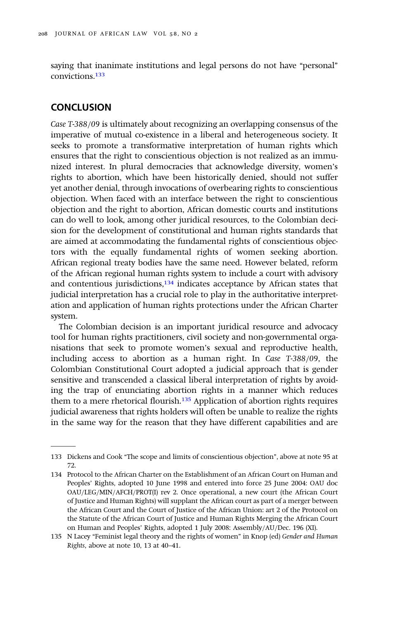saying that inanimate institutions and legal persons do not have "personal" convictions.133

# **CONCLUSION**

Case T-388/09 is ultimately about recognizing an overlapping consensus of the imperative of mutual co-existence in a liberal and heterogeneous society. It seeks to promote a transformative interpretation of human rights which ensures that the right to conscientious objection is not realized as an immunized interest. In plural democracies that acknowledge diversity, women's rights to abortion, which have been historically denied, should not suffer yet another denial, through invocations of overbearing rights to conscientious objection. When faced with an interface between the right to conscientious objection and the right to abortion, African domestic courts and institutions can do well to look, among other juridical resources, to the Colombian decision for the development of constitutional and human rights standards that are aimed at accommodating the fundamental rights of conscientious objectors with the equally fundamental rights of women seeking abortion. African regional treaty bodies have the same need. However belated, reform of the African regional human rights system to include a court with advisory and contentious jurisdictions,<sup>134</sup> indicates acceptance by African states that judicial interpretation has a crucial role to play in the authoritative interpretation and application of human rights protections under the African Charter system.

The Colombian decision is an important juridical resource and advocacy tool for human rights practitioners, civil society and non-governmental organisations that seek to promote women's sexual and reproductive health, including access to abortion as a human right. In Case T-388/09, the Colombian Constitutional Court adopted a judicial approach that is gender sensitive and transcended a classical liberal interpretation of rights by avoiding the trap of enunciating abortion rights in a manner which reduces them to a mere rhetorical flourish.<sup>135</sup> Application of abortion rights requires judicial awareness that rights holders will often be unable to realize the rights in the same way for the reason that they have different capabilities and are

<sup>133</sup> Dickens and Cook "The scope and limits of conscientious objection", above at note 95 at 72.

<sup>134</sup> Protocol to the African Charter on the Establishment of an African Court on Human and Peoples' Rights, adopted 10 June 1998 and entered into force 25 June 2004: OAU doc OAU/LEG/MIN/AFCH/PROT(I) rev 2. Once operational, a new court (the African Court of Justice and Human Rights) will supplant the African court as part of a merger between the African Court and the Court of Justice of the African Union: art 2 of the Protocol on the Statute of the African Court of Justice and Human Rights Merging the African Court on Human and Peoples' Rights, adopted 1 July 2008: Assembly/AU/Dec. 196 (XI).

<sup>135</sup> N Lacey "Feminist legal theory and the rights of women" in Knop (ed) Gender and Human Rights, above at note 10, 13 at 40–41.